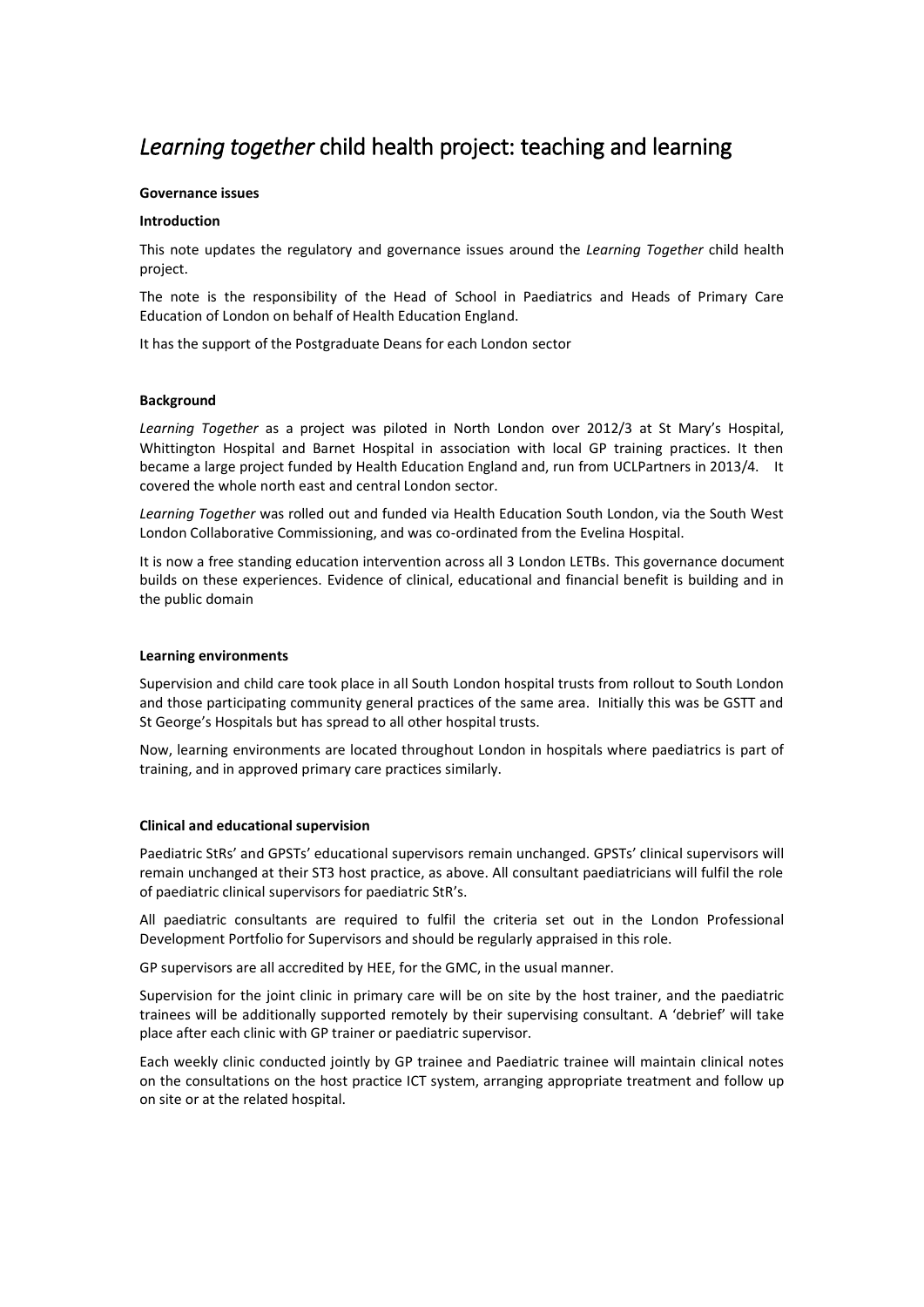# *Learning together* child health project: teaching and learning

## **Governance issues**

## **Introduction**

This note updates the regulatory and governance issues around the *Learning Together* child health project.

The note is the responsibility of the Head of School in Paediatrics and Heads of Primary Care Education of London on behalf of Health Education England.

It has the support of the Postgraduate Deans for each London sector

## **Background**

*Learning Together* as a project was piloted in North London over 2012/3 at St Mary's Hospital, Whittington Hospital and Barnet Hospital in association with local GP training practices. It then became a large project funded by Health Education England and, run from UCLPartners in 2013/4. It covered the whole north east and central London sector.

*Learning Together* was rolled out and funded via Health Education South London, via the South West London Collaborative Commissioning, and was co-ordinated from the Evelina Hospital.

It is now a free standing education intervention across all 3 London LETBs. This governance document builds on these experiences. Evidence of clinical, educational and financial benefit is building and in the public domain

## **Learning environments**

Supervision and child care took place in all South London hospital trusts from rollout to South London and those participating community general practices of the same area. Initially this was be GSTT and St George's Hospitals but has spread to all other hospital trusts.

Now, learning environments are located throughout London in hospitals where paediatrics is part of training, and in approved primary care practices similarly.

## **Clinical and educational supervision**

Paediatric StRs' and GPSTs' educational supervisors remain unchanged. GPSTs' clinical supervisors will remain unchanged at their ST3 host practice, as above. All consultant paediatricians will fulfil the role of paediatric clinical supervisors for paediatric StR's.

All paediatric consultants are required to fulfil the criteria set out in the London Professional Development Portfolio for Supervisors and should be regularly appraised in this role.

GP supervisors are all accredited by HEE, for the GMC, in the usual manner.

Supervision for the joint clinic in primary care will be on site by the host trainer, and the paediatric trainees will be additionally supported remotely by their supervising consultant. A 'debrief' will take place after each clinic with GP trainer or paediatric supervisor.

Each weekly clinic conducted jointly by GP trainee and Paediatric trainee will maintain clinical notes on the consultations on the host practice ICT system, arranging appropriate treatment and follow up on site or at the related hospital.